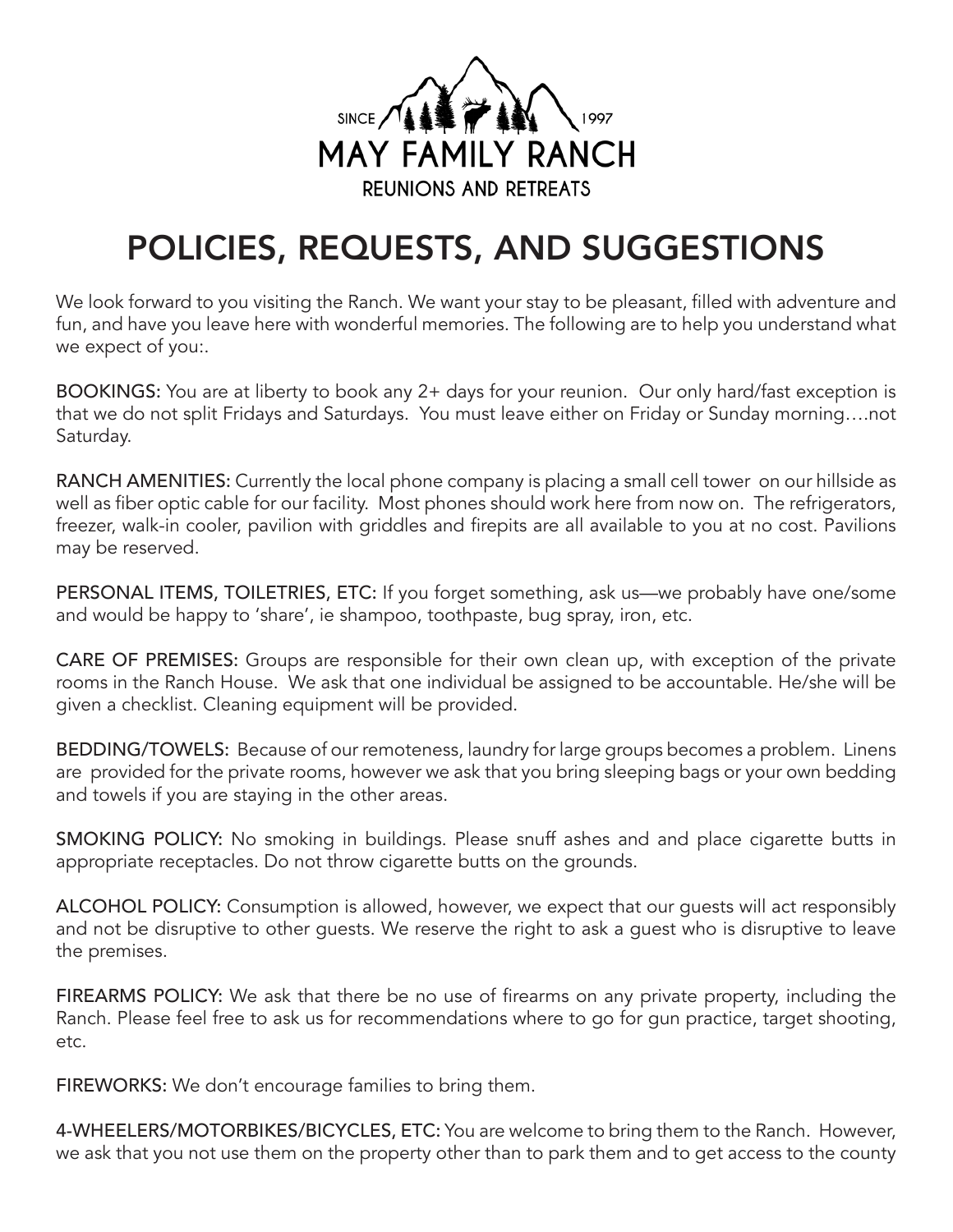

## POLICIES, REQUESTS, AND SUGGESTIONS

We look forward to you visiting the Ranch. We want your stay to be pleasant, filled with adventure and fun, and have you leave here with wonderful memories. The following are to help you understand what we expect of you:.

BOOKINGS: You are at liberty to book any 2+ days for your reunion. Our only hard/fast exception is that we do not split Fridays and Saturdays. You must leave either on Friday or Sunday morning….not Saturday.

RANCH AMENITIES: Currently the local phone company is placing a small cell tower on our hillside as well as fiber optic cable for our facility. Most phones should work here from now on. The refrigerators, freezer, walk-in cooler, pavilion with griddles and firepits are all available to you at no cost. Pavilions may be reserved.

PERSONAL ITEMS, TOILETRIES, ETC: If you forget something, ask us—we probably have one/some and would be happy to 'share', ie shampoo, toothpaste, bug spray, iron, etc.

CARE OF PREMISES: Groups are responsible for their own clean up, with exception of the private rooms in the Ranch House. We ask that one individual be assigned to be accountable. He/she will be given a checklist. Cleaning equipment will be provided.

BEDDING/TOWELS: Because of our remoteness, laundry for large groups becomes a problem. Linens are provided for the private rooms, however we ask that you bring sleeping bags or your own bedding and towels if you are staying in the other areas.

SMOKING POLICY: No smoking in buildings. Please snuff ashes and and place cigarette butts in appropriate receptacles. Do not throw cigarette butts on the grounds.

ALCOHOL POLICY: Consumption is allowed, however, we expect that our guests will act responsibly and not be disruptive to other guests. We reserve the right to ask a guest who is disruptive to leave the premises.

FIREARMS POLICY: We ask that there be no use of firearms on any private property, including the Ranch. Please feel free to ask us for recommendations where to go for gun practice, target shooting, etc.

FIREWORKS: We don't encourage families to bring them.

4-WHEELERS/MOTORBIKES/BICYCLES, ETC: You are welcome to bring them to the Ranch. However, we ask that you not use them on the property other than to park them and to get access to the county